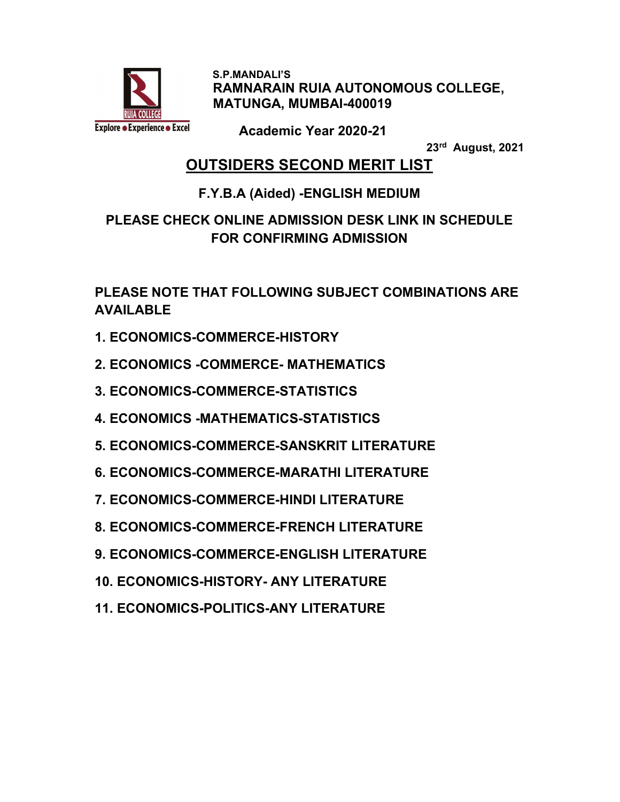

 S.P.MANDALI'S RAMNARAIN RUIA AUTONOMOUS COLLEGE, MATUNGA, MUMBAI-400019

Academic Year 2020-21

23rd August, 2021

### OUTSIDERS SECOND MERIT LIST

#### F.Y.B.A (Aided) -ENGLISH MEDIUM

#### PLEASE CHECK ONLINE ADMISSION DESK LINK IN SCHEDULE FOR CONFIRMING ADMISSION

PLEASE NOTE THAT FOLLOWING SUBJECT COMBINATIONS ARE AVAILABLE

- 1. ECONOMICS-COMMERCE-HISTORY
- 2. ECONOMICS -COMMERCE- MATHEMATICS
- 3. ECONOMICS-COMMERCE-STATISTICS
- 4. ECONOMICS -MATHEMATICS-STATISTICS
- 5. ECONOMICS-COMMERCE-SANSKRIT LITERATURE
- 6. ECONOMICS-COMMERCE-MARATHI LITERATURE
- 7. ECONOMICS-COMMERCE-HINDI LITERATURE
- 8. ECONOMICS-COMMERCE-FRENCH LITERATURE
- 9. ECONOMICS-COMMERCE-ENGLISH LITERATURE
- 10. ECONOMICS-HISTORY- ANY LITERATURE
- 11. ECONOMICS-POLITICS-ANY LITERATURE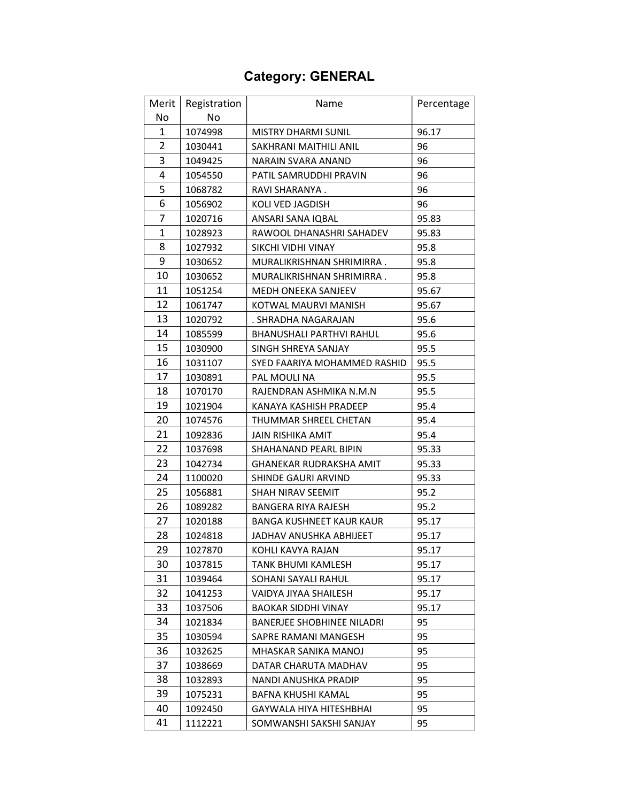# Category: GENERAL

| Merit          | Registration | Name                              | Percentage |
|----------------|--------------|-----------------------------------|------------|
| No             | No           |                                   |            |
| 1              | 1074998      | <b>MISTRY DHARMI SUNIL</b>        | 96.17      |
| $\overline{2}$ | 1030441      | SAKHRANI MAITHILI ANIL            | 96         |
| 3              | 1049425      | NARAIN SVARA ANAND                | 96         |
| 4              | 1054550      | PATIL SAMRUDDHI PRAVIN            | 96         |
| 5              | 1068782      | RAVI SHARANYA.                    | 96         |
| 6              | 1056902      | KOLI VED JAGDISH                  | 96         |
| 7              | 1020716      | ANSARI SANA IQBAL                 | 95.83      |
| 1              | 1028923      | RAWOOL DHANASHRI SAHADEV          | 95.83      |
| 8              | 1027932      | SIKCHI VIDHI VINAY                | 95.8       |
| 9              | 1030652      | MURALIKRISHNAN SHRIMIRRA.         | 95.8       |
| 10             | 1030652      | MURALIKRISHNAN SHRIMIRRA.         | 95.8       |
| 11             | 1051254      | <b>MEDH ONEEKA SANJEEV</b>        | 95.67      |
| 12             | 1061747      | KOTWAL MAURVI MANISH              | 95.67      |
| 13             | 1020792      | . SHRADHA NAGARAJAN               | 95.6       |
| 14             | 1085599      | <b>BHANUSHALI PARTHVI RAHUL</b>   | 95.6       |
| 15             | 1030900      | SINGH SHREYA SANJAY               | 95.5       |
| 16             | 1031107      | SYED FAARIYA MOHAMMED RASHID      | 95.5       |
| 17             | 1030891      | PAL MOULI NA                      | 95.5       |
| 18             | 1070170      | RAJENDRAN ASHMIKA N.M.N           | 95.5       |
| 19             | 1021904      | KANAYA KASHISH PRADEEP            | 95.4       |
| 20             | 1074576      | THUMMAR SHREEL CHETAN             | 95.4       |
| 21             | 1092836      | <b>JAIN RISHIKA AMIT</b>          | 95.4       |
| 22             | 1037698      | SHAHANAND PEARL BIPIN             | 95.33      |
| 23             | 1042734      | <b>GHANEKAR RUDRAKSHA AMIT</b>    | 95.33      |
| 24             | 1100020      | SHINDE GAURI ARVIND               | 95.33      |
| 25             | 1056881      | SHAH NIRAV SEEMIT                 | 95.2       |
| 26             | 1089282      | <b>BANGERA RIYA RAJESH</b>        | 95.2       |
| 27             | 1020188      | <b>BANGA KUSHNEET KAUR KAUR</b>   | 95.17      |
| 28             | 1024818      | JADHAV ANUSHKA ABHIJEET           | 95.17      |
| 29             | 1027870      | KOHLI KAVYA RAJAN                 | 95.17      |
| 30             | 1037815      | TANK BHUMI KAMLESH                | 95.17      |
| 31             | 1039464      | SOHANI SAYALI RAHUL               | 95.17      |
| 32             | 1041253      | VAIDYA JIYAA SHAILESH             | 95.17      |
| 33             | 1037506      | <b>BAOKAR SIDDHI VINAY</b>        | 95.17      |
| 34             | 1021834      | <b>BANERJEE SHOBHINEE NILADRI</b> | 95         |
| 35             | 1030594      | SAPRE RAMANI MANGESH              | 95         |
| 36             | 1032625      | MHASKAR SANIKA MANOJ              | 95         |
| 37             | 1038669      | DATAR CHARUTA MADHAV              | 95         |
| 38             | 1032893      | NANDI ANUSHKA PRADIP              | 95         |
| 39             | 1075231      | BAFNA KHUSHI KAMAL                | 95         |
| 40             | 1092450      | GAYWALA HIYA HITESHBHAI           | 95         |
| 41             | 1112221      | SOMWANSHI SAKSHI SANJAY           | 95         |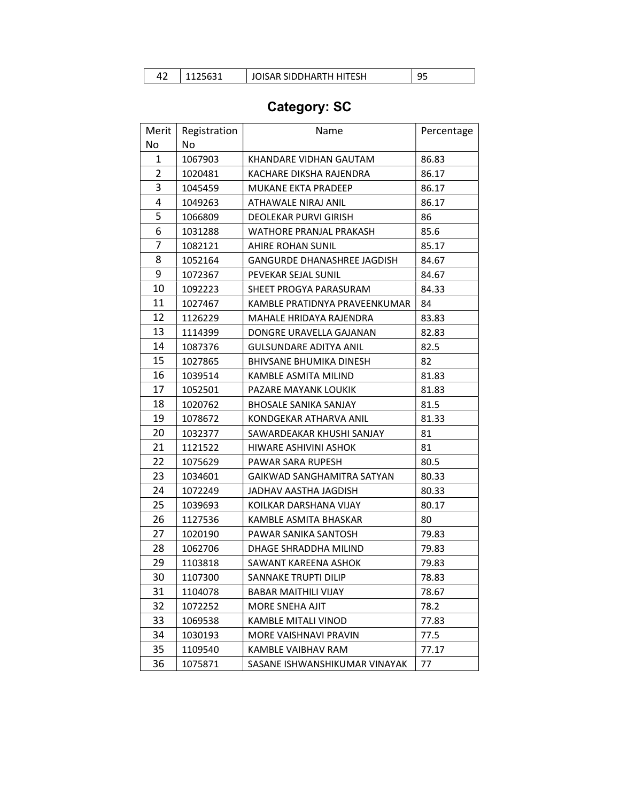|  |  | 1125631 | JOISAR SIDDHARTH HITESH |  |
|--|--|---------|-------------------------|--|
|--|--|---------|-------------------------|--|

# Category: SC

| Merit<br>No    | Registration<br>No | Name                               | Percentage |
|----------------|--------------------|------------------------------------|------------|
| 1              | 1067903            | KHANDARE VIDHAN GAUTAM             | 86.83      |
| $\overline{2}$ | 1020481            | KACHARE DIKSHA RAJENDRA            | 86.17      |
| 3              | 1045459            | <b>MUKANE EKTA PRADEEP</b>         | 86.17      |
| 4              | 1049263            | ATHAWALE NIRAJ ANIL                | 86.17      |
| 5              | 1066809            | DEOLEKAR PURVI GIRISH              | 86         |
| 6              | 1031288            | WATHORE PRANJAL PRAKASH            | 85.6       |
| 7              | 1082121            | AHIRE ROHAN SUNIL                  | 85.17      |
| 8              | 1052164            | <b>GANGURDE DHANASHREE JAGDISH</b> | 84.67      |
| 9              | 1072367            | PEVEKAR SEJAL SUNIL                | 84.67      |
| 10             | 1092223            | SHEET PROGYA PARASURAM             | 84.33      |
| 11             | 1027467            | KAMBLE PRATIDNYA PRAVEENKUMAR      | 84         |
| 12             | 1126229            | MAHALE HRIDAYA RAJENDRA            | 83.83      |
| 13             | 1114399            | DONGRE URAVELLA GAJANAN            | 82.83      |
| 14             | 1087376            | <b>GULSUNDARE ADITYA ANIL</b>      | 82.5       |
| 15             | 1027865            | <b>BHIVSANE BHUMIKA DINESH</b>     | 82         |
| 16             | 1039514            | KAMBLE ASMITA MILIND               | 81.83      |
| 17             | 1052501            | PAZARE MAYANK LOUKIK               | 81.83      |
| 18             | 1020762            | <b>BHOSALE SANIKA SANJAY</b>       | 81.5       |
| 19             | 1078672            | KONDGEKAR ATHARVA ANIL             | 81.33      |
| 20             | 1032377            | SAWARDEAKAR KHUSHI SANJAY          | 81         |
| 21             | 1121522            | HIWARE ASHIVINI ASHOK              | 81         |
| 22             | 1075629            | PAWAR SARA RUPESH                  | 80.5       |
| 23             | 1034601            | <b>GAIKWAD SANGHAMITRA SATYAN</b>  | 80.33      |
| 24             | 1072249            | JADHAV AASTHA JAGDISH              | 80.33      |
| 25             | 1039693            | KOILKAR DARSHANA VIJAY             | 80.17      |
| 26             | 1127536            | KAMBLE ASMITA BHASKAR              | 80         |
| 27             | 1020190            | PAWAR SANIKA SANTOSH               | 79.83      |
| 28             | 1062706            | DHAGE SHRADDHA MILIND              | 79.83      |
| 29             | 1103818            | SAWANT KAREENA ASHOK               | 79.83      |
| 30             | 1107300            | SANNAKE TRUPTI DILIP               | 78.83      |
| 31             | 1104078            | <b>BABAR MAITHILI VIJAY</b>        | 78.67      |
| 32             | 1072252            | <b>MORE SNEHA AJIT</b>             | 78.2       |
| 33             | 1069538            | KAMBLE MITALI VINOD                | 77.83      |
| 34             | 1030193            | MORE VAISHNAVI PRAVIN              | 77.5       |
| 35             | 1109540            | KAMBLE VAIBHAV RAM                 | 77.17      |
| 36             | 1075871            | SASANE ISHWANSHIKUMAR VINAYAK      | 77         |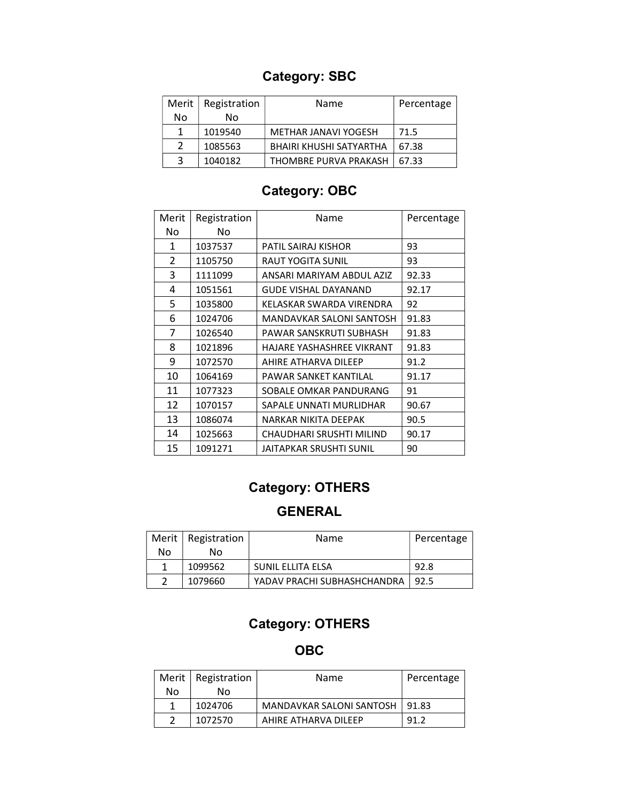### Category: SBC

| Merit | Registration | Name                    | Percentage |
|-------|--------------|-------------------------|------------|
| No    | N٥           |                         |            |
|       | 1019540      | METHAR JANAVI YOGESH    | 71.5       |
| 2     | 1085563      | BHAIRI KHUSHI SATYARTHA | 67.38      |
| 2     | 1040182      | THOMBRE PURVA PRAKASH   | 67.33      |

### Category: OBC

| Merit | Registration | Name                        | Percentage |
|-------|--------------|-----------------------------|------------|
| No    | No           |                             |            |
| 1     | 1037537      | PATIL SAIRAJ KISHOR         | 93         |
| 2     | 1105750      | <b>RAUT YOGITA SUNIL</b>    | 93         |
| 3     | 1111099      | ANSARI MARIYAM ABDUL AZIZ   | 92.33      |
| 4     | 1051561      | <b>GUDE VISHAL DAYANAND</b> | 92.17      |
| 5     | 1035800      | KELASKAR SWARDA VIRENDRA    | 92         |
| 6     | 1024706      | MANDAVKAR SALONI SANTOSH    | 91.83      |
| 7     | 1026540      | PAWAR SANSKRUTI SUBHASH     | 91.83      |
| 8     | 1021896      | HAJARE YASHASHREE VIKRANT   | 91.83      |
| 9     | 1072570      | AHIRE ATHARVA DILEEP        | 91.2       |
| 10    | 1064169      | PAWAR SANKET KANTILAL       | 91.17      |
| 11    | 1077323      | SOBALE OMKAR PANDURANG      | 91         |
| 12    | 1070157      | SAPALE UNNATI MURLIDHAR     | 90.67      |
| 13    | 1086074      | NARKAR NIKITA DEEPAK        | 90.5       |
| 14    | 1025663      | CHAUDHARI SRUSHTI MILIND    | 90.17      |
| 15    | 1091271      | JAITAPKAR SRUSHTI SUNIL     | 90         |

### Category: OTHERS

#### GENERAL

|    | Merit   Registration | Name                        | Percentage |
|----|----------------------|-----------------------------|------------|
| No | Nο                   |                             |            |
|    | 1099562              | SUNIL ELLITA ELSA           | 92.8       |
|    | 1079660              | YADAV PRACHI SUBHASHCHANDRA | -92.5      |

### Category: OTHERS

OBC

|    | Merit   Registration | Name                     | Percentage |
|----|----------------------|--------------------------|------------|
| No | N٥                   |                          |            |
|    | 1024706              | MANDAVKAR SALONI SANTOSH | 91.83      |
|    | 1072570              | AHIRF ATHARVA DII FFP    | 91.2       |